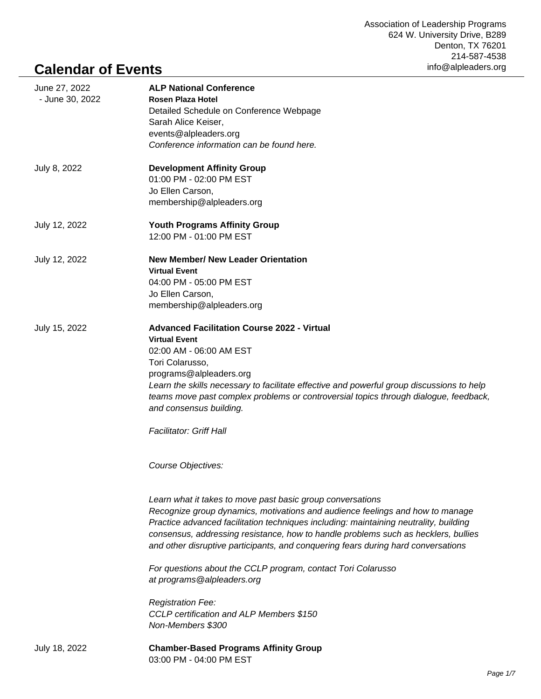## **Calendar of Events**

| June 27, 2022<br>- June 30, 2022 | <b>ALP National Conference</b><br>Rosen Plaza Hotel<br>Detailed Schedule on Conference Webpage<br>Sarah Alice Keiser,<br>events@alpleaders.org<br>Conference information can be found here.                                                                                                                                                                                                                                                                                                                   |
|----------------------------------|---------------------------------------------------------------------------------------------------------------------------------------------------------------------------------------------------------------------------------------------------------------------------------------------------------------------------------------------------------------------------------------------------------------------------------------------------------------------------------------------------------------|
| July 8, 2022                     | <b>Development Affinity Group</b><br>01:00 PM - 02:00 PM EST<br>Jo Ellen Carson,<br>membership@alpleaders.org                                                                                                                                                                                                                                                                                                                                                                                                 |
| July 12, 2022                    | <b>Youth Programs Affinity Group</b><br>12:00 PM - 01:00 PM EST                                                                                                                                                                                                                                                                                                                                                                                                                                               |
| July 12, 2022                    | <b>New Member/ New Leader Orientation</b><br><b>Virtual Event</b><br>04:00 PM - 05:00 PM EST<br>Jo Ellen Carson,<br>membership@alpleaders.org                                                                                                                                                                                                                                                                                                                                                                 |
| July 15, 2022                    | <b>Advanced Facilitation Course 2022 - Virtual</b><br><b>Virtual Event</b><br>02:00 AM - 06:00 AM EST<br>Tori Colarusso,<br>programs@alpleaders.org<br>Learn the skills necessary to facilitate effective and powerful group discussions to help<br>teams move past complex problems or controversial topics through dialogue, feedback,<br>and consensus building.<br><b>Facilitator: Griff Hall</b><br>Course Objectives:                                                                                   |
|                                  | Learn what it takes to move past basic group conversations<br>Recognize group dynamics, motivations and audience feelings and how to manage<br>Practice advanced facilitation techniques including: maintaining neutrality, building<br>consensus, addressing resistance, how to handle problems such as hecklers, bullies<br>and other disruptive participants, and conquering fears during hard conversations<br>For questions about the CCLP program, contact Tori Colarusso<br>at programs@alpleaders.org |
|                                  | <b>Registration Fee:</b><br>CCLP certification and ALP Members \$150<br>Non-Members \$300                                                                                                                                                                                                                                                                                                                                                                                                                     |
| July 18, 2022                    | <b>Chamber-Based Programs Affinity Group</b><br>03:00 PM - 04:00 PM EST                                                                                                                                                                                                                                                                                                                                                                                                                                       |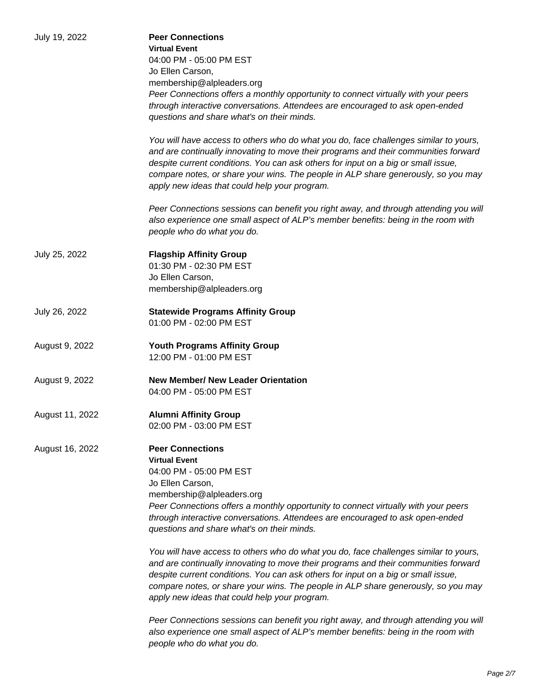| July 19, 2022   | <b>Peer Connections</b>                                                                                                                                                     |
|-----------------|-----------------------------------------------------------------------------------------------------------------------------------------------------------------------------|
|                 | <b>Virtual Event</b>                                                                                                                                                        |
|                 | 04:00 PM - 05:00 PM EST                                                                                                                                                     |
|                 |                                                                                                                                                                             |
|                 | Jo Ellen Carson,                                                                                                                                                            |
|                 | membership@alpleaders.org                                                                                                                                                   |
|                 | Peer Connections offers a monthly opportunity to connect virtually with your peers                                                                                          |
|                 | through interactive conversations. Attendees are encouraged to ask open-ended                                                                                               |
|                 | questions and share what's on their minds.                                                                                                                                  |
|                 |                                                                                                                                                                             |
|                 | You will have access to others who do what you do, face challenges similar to yours,<br>and are continually innovating to move their programs and their communities forward |
|                 | despite current conditions. You can ask others for input on a big or small issue,                                                                                           |
|                 | compare notes, or share your wins. The people in ALP share generously, so you may                                                                                           |
|                 | apply new ideas that could help your program.                                                                                                                               |
|                 | Peer Connections sessions can benefit you right away, and through attending you will                                                                                        |
|                 | also experience one small aspect of ALP's member benefits: being in the room with                                                                                           |
|                 | people who do what you do.                                                                                                                                                  |
| July 25, 2022   | <b>Flagship Affinity Group</b>                                                                                                                                              |
|                 | 01:30 PM - 02:30 PM EST                                                                                                                                                     |
|                 | Jo Ellen Carson,                                                                                                                                                            |
|                 |                                                                                                                                                                             |
|                 | membership@alpleaders.org                                                                                                                                                   |
| July 26, 2022   | <b>Statewide Programs Affinity Group</b>                                                                                                                                    |
|                 | 01:00 PM - 02:00 PM EST                                                                                                                                                     |
| August 9, 2022  | <b>Youth Programs Affinity Group</b>                                                                                                                                        |
|                 | 12:00 PM - 01:00 PM EST                                                                                                                                                     |
|                 |                                                                                                                                                                             |
| August 9, 2022  | <b>New Member/ New Leader Orientation</b>                                                                                                                                   |
|                 | 04:00 PM - 05:00 PM EST                                                                                                                                                     |
|                 |                                                                                                                                                                             |
| August 11, 2022 | <b>Alumni Affinity Group</b>                                                                                                                                                |
|                 | 02:00 PM - 03:00 PM EST                                                                                                                                                     |
| August 16, 2022 | <b>Peer Connections</b>                                                                                                                                                     |
|                 | <b>Virtual Event</b>                                                                                                                                                        |
|                 |                                                                                                                                                                             |
|                 | 04:00 PM - 05:00 PM EST                                                                                                                                                     |
|                 | Jo Ellen Carson,                                                                                                                                                            |
|                 | membership@alpleaders.org                                                                                                                                                   |
|                 | Peer Connections offers a monthly opportunity to connect virtually with your peers                                                                                          |
|                 | through interactive conversations. Attendees are encouraged to ask open-ended                                                                                               |
|                 | questions and share what's on their minds.                                                                                                                                  |
|                 |                                                                                                                                                                             |
|                 | You will have access to others who do what you do, face challenges similar to yours,                                                                                        |
|                 | and are continually innovating to move their programs and their communities forward                                                                                         |
|                 | despite current conditions. You can ask others for input on a big or small issue,                                                                                           |
|                 | compare notes, or share your wins. The people in ALP share generously, so you may                                                                                           |
|                 | apply new ideas that could help your program.                                                                                                                               |
|                 | Peer Connections sessions can benefit you right away, and through attending you will                                                                                        |
|                 | also experience one small aspect of ALP's member benefits: being in the room with                                                                                           |
|                 | people who do what you do.                                                                                                                                                  |
|                 |                                                                                                                                                                             |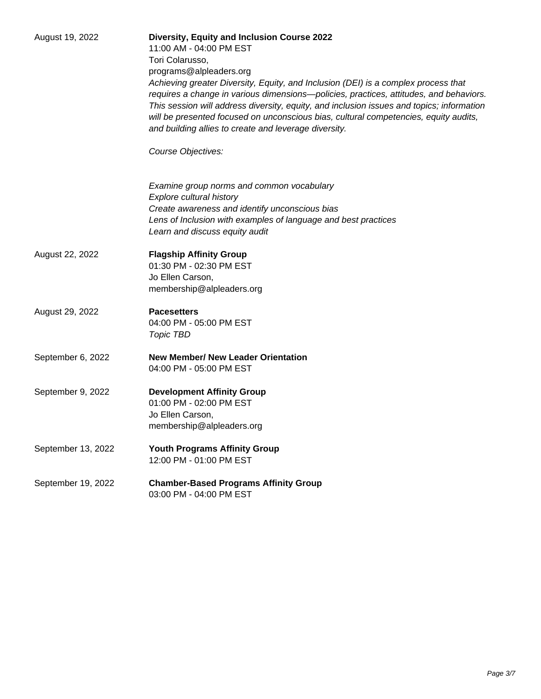| August 19, 2022    | <b>Diversity, Equity and Inclusion Course 2022</b><br>11:00 AM - 04:00 PM EST<br>Tori Colarusso,<br>programs@alpleaders.org<br>Achieving greater Diversity, Equity, and Inclusion (DEI) is a complex process that<br>requires a change in various dimensions-policies, practices, attitudes, and behaviors.<br>This session will address diversity, equity, and inclusion issues and topics; information<br>will be presented focused on unconscious bias, cultural competencies, equity audits,<br>and building allies to create and leverage diversity. |
|--------------------|-----------------------------------------------------------------------------------------------------------------------------------------------------------------------------------------------------------------------------------------------------------------------------------------------------------------------------------------------------------------------------------------------------------------------------------------------------------------------------------------------------------------------------------------------------------|
|                    | Course Objectives:<br>Examine group norms and common vocabulary<br>Explore cultural history<br>Create awareness and identify unconscious bias<br>Lens of Inclusion with examples of language and best practices<br>Learn and discuss equity audit                                                                                                                                                                                                                                                                                                         |
| August 22, 2022    | <b>Flagship Affinity Group</b><br>01:30 PM - 02:30 PM EST<br>Jo Ellen Carson,<br>membership@alpleaders.org                                                                                                                                                                                                                                                                                                                                                                                                                                                |
| August 29, 2022    | <b>Pacesetters</b><br>04:00 PM - 05:00 PM EST<br>Topic TBD                                                                                                                                                                                                                                                                                                                                                                                                                                                                                                |
| September 6, 2022  | <b>New Member/ New Leader Orientation</b><br>04:00 PM - 05:00 PM EST                                                                                                                                                                                                                                                                                                                                                                                                                                                                                      |
| September 9, 2022  | <b>Development Affinity Group</b><br>01:00 PM - 02:00 PM EST<br>Jo Ellen Carson,<br>membership@alpleaders.org                                                                                                                                                                                                                                                                                                                                                                                                                                             |
| September 13, 2022 | <b>Youth Programs Affinity Group</b><br>12:00 PM - 01:00 PM EST                                                                                                                                                                                                                                                                                                                                                                                                                                                                                           |
| September 19, 2022 | <b>Chamber-Based Programs Affinity Group</b><br>03:00 PM - 04:00 PM EST                                                                                                                                                                                                                                                                                                                                                                                                                                                                                   |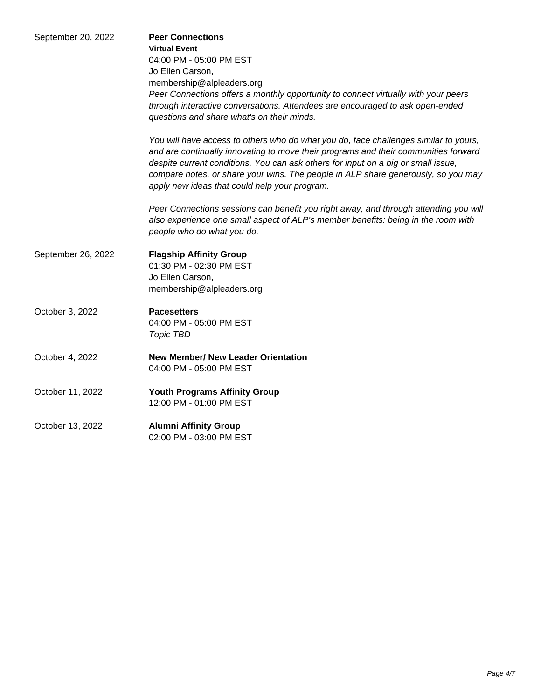| September 20, 2022 | <b>Peer Connections</b><br><b>Virtual Event</b><br>04:00 PM - 05:00 PM EST<br>Jo Ellen Carson,<br>membership@alpleaders.org                                                                                                                                                                                                                                                                            |
|--------------------|--------------------------------------------------------------------------------------------------------------------------------------------------------------------------------------------------------------------------------------------------------------------------------------------------------------------------------------------------------------------------------------------------------|
|                    | Peer Connections offers a monthly opportunity to connect virtually with your peers<br>through interactive conversations. Attendees are encouraged to ask open-ended<br>questions and share what's on their minds.                                                                                                                                                                                      |
|                    | You will have access to others who do what you do, face challenges similar to yours,<br>and are continually innovating to move their programs and their communities forward<br>despite current conditions. You can ask others for input on a big or small issue,<br>compare notes, or share your wins. The people in ALP share generously, so you may<br>apply new ideas that could help your program. |
|                    | Peer Connections sessions can benefit you right away, and through attending you will<br>also experience one small aspect of ALP's member benefits: being in the room with<br>people who do what you do.                                                                                                                                                                                                |
| September 26, 2022 | <b>Flagship Affinity Group</b><br>01:30 PM - 02:30 PM EST<br>Jo Ellen Carson,<br>membership@alpleaders.org                                                                                                                                                                                                                                                                                             |
| October 3, 2022    | <b>Pacesetters</b><br>04:00 PM - 05:00 PM EST<br>Topic TBD                                                                                                                                                                                                                                                                                                                                             |
| October 4, 2022    | <b>New Member/ New Leader Orientation</b><br>04:00 PM - 05:00 PM EST                                                                                                                                                                                                                                                                                                                                   |
| October 11, 2022   | <b>Youth Programs Affinity Group</b><br>12:00 PM - 01:00 PM EST                                                                                                                                                                                                                                                                                                                                        |
| October 13, 2022   | <b>Alumni Affinity Group</b><br>02:00 PM - 03:00 PM EST                                                                                                                                                                                                                                                                                                                                                |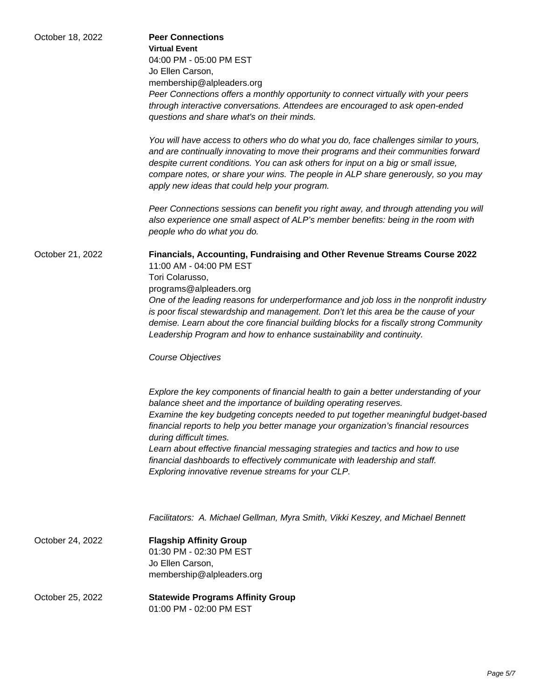| October 18, 2022 | <b>Peer Connections</b><br><b>Virtual Event</b><br>04:00 PM - 05:00 PM EST<br>Jo Ellen Carson,<br>membership@alpleaders.org<br>Peer Connections offers a monthly opportunity to connect virtually with your peers<br>through interactive conversations. Attendees are encouraged to ask open-ended<br>questions and share what's on their minds.<br>You will have access to others who do what you do, face challenges similar to yours,<br>and are continually innovating to move their programs and their communities forward<br>despite current conditions. You can ask others for input on a big or small issue,<br>compare notes, or share your wins. The people in ALP share generously, so you may<br>apply new ideas that could help your program.                                                                                                                                                                                                                                                                                                                                                            |
|------------------|-----------------------------------------------------------------------------------------------------------------------------------------------------------------------------------------------------------------------------------------------------------------------------------------------------------------------------------------------------------------------------------------------------------------------------------------------------------------------------------------------------------------------------------------------------------------------------------------------------------------------------------------------------------------------------------------------------------------------------------------------------------------------------------------------------------------------------------------------------------------------------------------------------------------------------------------------------------------------------------------------------------------------------------------------------------------------------------------------------------------------|
|                  | Peer Connections sessions can benefit you right away, and through attending you will<br>also experience one small aspect of ALP's member benefits: being in the room with<br>people who do what you do.                                                                                                                                                                                                                                                                                                                                                                                                                                                                                                                                                                                                                                                                                                                                                                                                                                                                                                               |
| October 21, 2022 | Financials, Accounting, Fundraising and Other Revenue Streams Course 2022<br>11:00 AM - 04:00 PM EST<br>Tori Colarusso,<br>programs@alpleaders.org<br>One of the leading reasons for underperformance and job loss in the nonprofit industry<br>is poor fiscal stewardship and management. Don't let this area be the cause of your<br>demise. Learn about the core financial building blocks for a fiscally strong Community<br>Leadership Program and how to enhance sustainability and continuity.<br>Course Objectives<br>Explore the key components of financial health to gain a better understanding of your<br>balance sheet and the importance of building operating reserves.<br>Examine the key budgeting concepts needed to put together meaningful budget-based<br>financial reports to help you better manage your organization's financial resources<br>during difficult times.<br>Learn about effective financial messaging strategies and tactics and how to use<br>financial dashboards to effectively communicate with leadership and staff.<br>Exploring innovative revenue streams for your CLP. |
|                  | Facilitators: A. Michael Gellman, Myra Smith, Vikki Keszey, and Michael Bennett                                                                                                                                                                                                                                                                                                                                                                                                                                                                                                                                                                                                                                                                                                                                                                                                                                                                                                                                                                                                                                       |
| October 24, 2022 | <b>Flagship Affinity Group</b><br>01:30 PM - 02:30 PM EST<br>Jo Ellen Carson,<br>membership@alpleaders.org                                                                                                                                                                                                                                                                                                                                                                                                                                                                                                                                                                                                                                                                                                                                                                                                                                                                                                                                                                                                            |
| October 25, 2022 | <b>Statewide Programs Affinity Group</b><br>01:00 PM - 02:00 PM EST                                                                                                                                                                                                                                                                                                                                                                                                                                                                                                                                                                                                                                                                                                                                                                                                                                                                                                                                                                                                                                                   |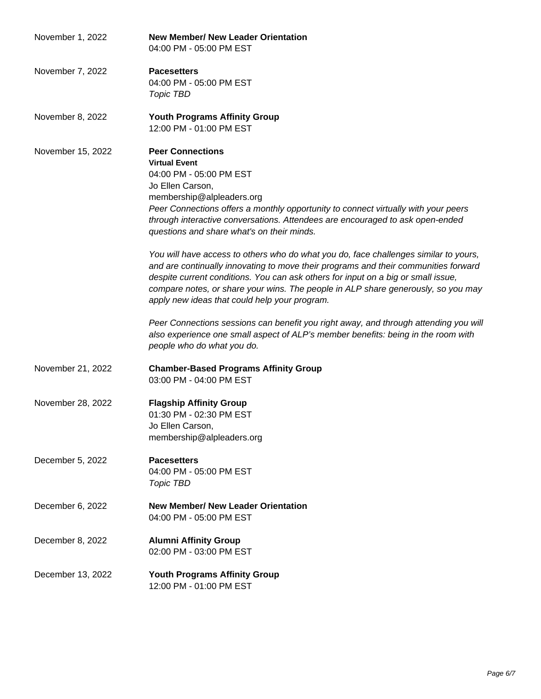| November 1, 2022  | <b>New Member/ New Leader Orientation</b><br>04:00 PM - 05:00 PM EST                                                                                                                                                                                                                                                                                                                                   |
|-------------------|--------------------------------------------------------------------------------------------------------------------------------------------------------------------------------------------------------------------------------------------------------------------------------------------------------------------------------------------------------------------------------------------------------|
| November 7, 2022  | <b>Pacesetters</b><br>04:00 PM - 05:00 PM EST<br>Topic TBD                                                                                                                                                                                                                                                                                                                                             |
| November 8, 2022  | <b>Youth Programs Affinity Group</b><br>12:00 PM - 01:00 PM EST                                                                                                                                                                                                                                                                                                                                        |
| November 15, 2022 | <b>Peer Connections</b><br><b>Virtual Event</b><br>04:00 PM - 05:00 PM EST<br>Jo Ellen Carson,<br>membership@alpleaders.org<br>Peer Connections offers a monthly opportunity to connect virtually with your peers<br>through interactive conversations. Attendees are encouraged to ask open-ended<br>questions and share what's on their minds.                                                       |
|                   | You will have access to others who do what you do, face challenges similar to yours,<br>and are continually innovating to move their programs and their communities forward<br>despite current conditions. You can ask others for input on a big or small issue,<br>compare notes, or share your wins. The people in ALP share generously, so you may<br>apply new ideas that could help your program. |
|                   | Peer Connections sessions can benefit you right away, and through attending you will<br>also experience one small aspect of ALP's member benefits: being in the room with<br>people who do what you do.                                                                                                                                                                                                |
| November 21, 2022 | <b>Chamber-Based Programs Affinity Group</b><br>03:00 PM - 04:00 PM EST                                                                                                                                                                                                                                                                                                                                |
| November 28, 2022 | <b>Flagship Affinity Group</b><br>01:30 PM - 02:30 PM EST<br>Jo Ellen Carson.<br>membership@alpleaders.org                                                                                                                                                                                                                                                                                             |
| December 5, 2022  | <b>Pacesetters</b><br>04:00 PM - 05:00 PM EST<br>Topic TBD                                                                                                                                                                                                                                                                                                                                             |
| December 6, 2022  | <b>New Member/ New Leader Orientation</b><br>04:00 PM - 05:00 PM EST                                                                                                                                                                                                                                                                                                                                   |
| December 8, 2022  | <b>Alumni Affinity Group</b><br>02:00 PM - 03:00 PM EST                                                                                                                                                                                                                                                                                                                                                |
| December 13, 2022 | <b>Youth Programs Affinity Group</b><br>12:00 PM - 01:00 PM EST                                                                                                                                                                                                                                                                                                                                        |